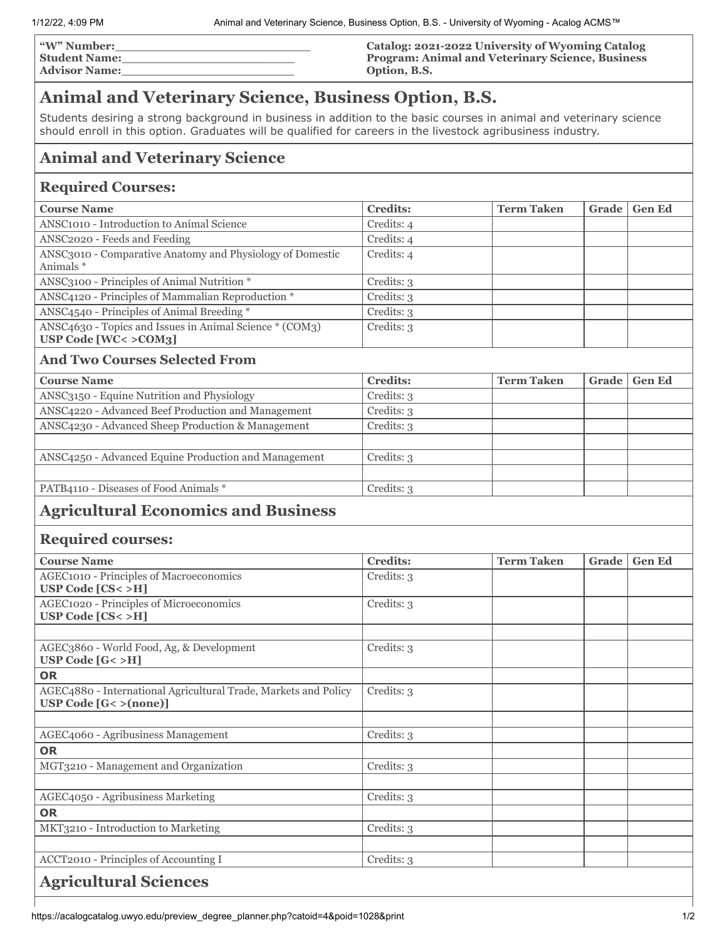| <b>W"</b> Number:    | Catalog: 2021-2022 University of Wyoming Catalog        |
|----------------------|---------------------------------------------------------|
| Student Name:        | <b>Program: Animal and Veterinary Science, Business</b> |
| <b>Advisor Name:</b> | Option, B.S.                                            |

# **Animal and Veterinary Science, Business Option, B.S.**

Students desiring a strong background in business in addition to the basic courses in animal and veterinary science should enroll in this option. Graduates will be qualified for careers in the livestock agribusiness industry.

## **Animal and Veterinary Science**

## **Required Courses:**

| <b>Course Name</b>                                                                 | <b>Credits:</b> | <b>Term Taken</b> | Grade   Gen Ed |
|------------------------------------------------------------------------------------|-----------------|-------------------|----------------|
| ANSC <sub>1010</sub> - Introduction to Animal Science                              | Credits: 4      |                   |                |
| ANSC2020 - Feeds and Feeding                                                       | Credits: 4      |                   |                |
| ANSC3010 - Comparative Anatomy and Physiology of Domestic<br>Animals *             | Credits: 4      |                   |                |
| ANSC3100 - Principles of Animal Nutrition *                                        | Credits: 3      |                   |                |
| ANSC4120 - Principles of Mammalian Reproduction *                                  | Credits: 3      |                   |                |
| ANSC4540 - Principles of Animal Breeding *                                         | Credits: 3      |                   |                |
| ANSC4630 - Topics and Issues in Animal Science * (COM3)<br>USP Code $[WC < >COM3]$ | Credits: 3      |                   |                |

## **And Two Courses Selected From**

| <b>Course Name</b>                                   | <b>Credits:</b> | <b>Term Taken</b> | Grade   Gen Ed |
|------------------------------------------------------|-----------------|-------------------|----------------|
| ANSC3150 - Equine Nutrition and Physiology           | Credits: 3      |                   |                |
| ANSC4220 - Advanced Beef Production and Management   | Credits: 3      |                   |                |
| ANSC4230 - Advanced Sheep Production & Management    | Credits: 3      |                   |                |
|                                                      |                 |                   |                |
| ANSC4250 - Advanced Equine Production and Management | Credits: 3      |                   |                |
|                                                      |                 |                   |                |
| PATB4110 - Diseases of Food Animals *                | Credits: 3      |                   |                |
|                                                      |                 |                   |                |

# **Agricultural Economics and Business**

### **Required courses:**

| <b>Course Name</b>                                                                        | <b>Credits:</b> | <b>Term Taken</b> | Grade | <b>Gen Ed</b> |
|-------------------------------------------------------------------------------------------|-----------------|-------------------|-------|---------------|
| AGEC1010 - Principles of Macroeconomics<br>USP Code $[CS < > H]$                          | Credits: 3      |                   |       |               |
| AGEC1020 - Principles of Microeconomics<br>USP Code $[CS < > H]$                          | Credits: 3      |                   |       |               |
|                                                                                           |                 |                   |       |               |
| AGEC3860 - World Food, Ag, & Development<br>USP Code $[G< > H]$                           | Credits: 3      |                   |       |               |
| <b>OR</b>                                                                                 |                 |                   |       |               |
| AGEC4880 - International Agricultural Trade, Markets and Policy<br>USP Code $[G<>(none)]$ | Credits: 3      |                   |       |               |
|                                                                                           |                 |                   |       |               |
| AGEC4060 - Agribusiness Management                                                        | Credits: 3      |                   |       |               |
| <b>OR</b>                                                                                 |                 |                   |       |               |
| MGT3210 - Management and Organization                                                     | Credits: 3      |                   |       |               |
|                                                                                           |                 |                   |       |               |
| AGEC4050 - Agribusiness Marketing                                                         | Credits: 3      |                   |       |               |
| <b>OR</b>                                                                                 |                 |                   |       |               |
| MKT3210 - Introduction to Marketing                                                       | Credits: 3      |                   |       |               |
| ACCT2010 - Principles of Accounting I                                                     | Credits: 3      |                   |       |               |
| <b>Agricultural Sciences</b>                                                              |                 |                   |       |               |